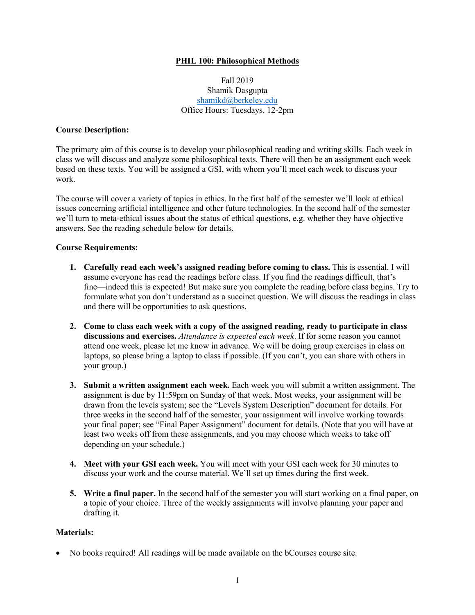## **PHIL 100: Philosophical Methods**

Fall 2019 Shamik Dasgupta shamikd@berkeley.edu Office Hours: Tuesdays, 12-2pm

#### **Course Description:**

The primary aim of this course is to develop your philosophical reading and writing skills. Each week in class we will discuss and analyze some philosophical texts. There will then be an assignment each week based on these texts. You will be assigned a GSI, with whom you'll meet each week to discuss your work.

The course will cover a variety of topics in ethics. In the first half of the semester we'll look at ethical issues concerning artificial intelligence and other future technologies. In the second half of the semester we'll turn to meta-ethical issues about the status of ethical questions, e.g. whether they have objective answers. See the reading schedule below for details.

#### **Course Requirements:**

- **1. Carefully read each week's assigned reading before coming to class.** This is essential. I will assume everyone has read the readings before class. If you find the readings difficult, that's fine—indeed this is expected! But make sure you complete the reading before class begins. Try to formulate what you don't understand as a succinct question. We will discuss the readings in class and there will be opportunities to ask questions.
- **2. Come to class each week with a copy of the assigned reading, ready to participate in class discussions and exercises.** *Attendance is expected each week*. If for some reason you cannot attend one week, please let me know in advance. We will be doing group exercises in class on laptops, so please bring a laptop to class if possible. (If you can't, you can share with others in your group.)
- **3. Submit a written assignment each week.** Each week you will submit a written assignment. The assignment is due by 11:59pm on Sunday of that week. Most weeks, your assignment will be drawn from the levels system; see the "Levels System Description" document for details. For three weeks in the second half of the semester, your assignment will involve working towards your final paper; see "Final Paper Assignment" document for details. (Note that you will have at least two weeks off from these assignments, and you may choose which weeks to take off depending on your schedule.)
- **4. Meet with your GSI each week.** You will meet with your GSI each week for 30 minutes to discuss your work and the course material. We'll set up times during the first week.
- **5. Write a final paper.** In the second half of the semester you will start working on a final paper, on a topic of your choice. Three of the weekly assignments will involve planning your paper and drafting it.

## **Materials:**

• No books required! All readings will be made available on the bCourses course site.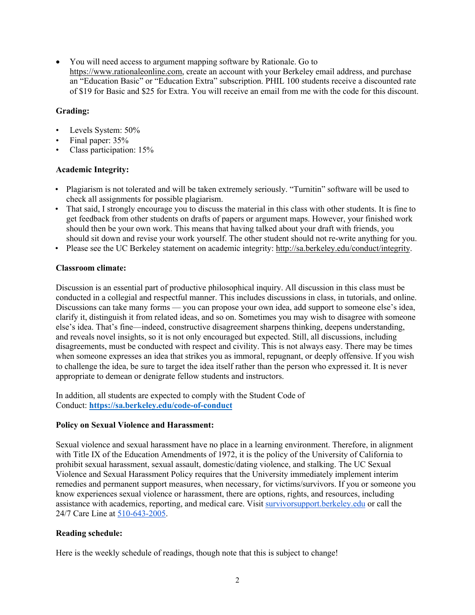• You will need access to argument mapping software by Rationale. Go to https://www.rationaleonline.com, create an account with your Berkeley email address, and purchase an "Education Basic" or "Education Extra" subscription. PHIL 100 students receive a discounted rate of \$19 for Basic and \$25 for Extra. You will receive an email from me with the code for this discount.

# **Grading:**

- Levels System: 50%
- Final paper: 35%
- Class participation: 15%

## **Academic Integrity:**

- Plagiarism is not tolerated and will be taken extremely seriously. "Turnitin" software will be used to check all assignments for possible plagiarism.
- That said, I strongly encourage you to discuss the material in this class with other students. It is fine to get feedback from other students on drafts of papers or argument maps. However, your finished work should then be your own work. This means that having talked about your draft with friends, you should sit down and revise your work yourself. The other student should not re-write anything for you.
- Please see the UC Berkeley statement on academic integrity: http://sa.berkeley.edu/conduct/integrity.

# **Classroom climate:**

Discussion is an essential part of productive philosophical inquiry. All discussion in this class must be conducted in a collegial and respectful manner. This includes discussions in class, in tutorials, and online. Discussions can take many forms — you can propose your own idea, add support to someone else's idea, clarify it, distinguish it from related ideas, and so on. Sometimes you may wish to disagree with someone else's idea. That's fine—indeed, constructive disagreement sharpens thinking, deepens understanding, and reveals novel insights, so it is not only encouraged but expected. Still, all discussions, including disagreements, must be conducted with respect and civility. This is not always easy. There may be times when someone expresses an idea that strikes you as immoral, repugnant, or deeply offensive. If you wish to challenge the idea, be sure to target the idea itself rather than the person who expressed it. It is never appropriate to demean or denigrate fellow students and instructors.

In addition, all students are expected to comply with the Student Code of Conduct: **https://sa.berkeley.edu/code-of-conduct**

## **Policy on Sexual Violence and Harassment:**

Sexual violence and sexual harassment have no place in a learning environment. Therefore, in alignment with Title IX of the Education Amendments of 1972, it is the policy of the University of California to prohibit sexual harassment, sexual assault, domestic/dating violence, and stalking. The UC Sexual Violence and Sexual Harassment Policy requires that the University immediately implement interim remedies and permanent support measures, when necessary, for victims/survivors. If you or someone you know experiences sexual violence or harassment, there are options, rights, and resources, including assistance with academics, reporting, and medical care. Visit survivorsupport.berkeley.edu or call the 24/7 Care Line at 510-643-2005.

## **Reading schedule:**

Here is the weekly schedule of readings, though note that this is subject to change!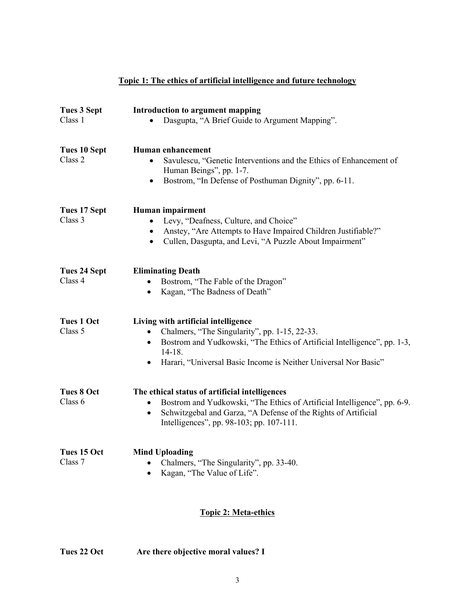|                                | Topic 1: The ethics of artificial intelligence and future technology                                                                                                                                                                                                        |
|--------------------------------|-----------------------------------------------------------------------------------------------------------------------------------------------------------------------------------------------------------------------------------------------------------------------------|
| <b>Tues 3 Sept</b><br>Class 1  | Introduction to argument mapping<br>Dasgupta, "A Brief Guide to Argument Mapping".                                                                                                                                                                                          |
| <b>Tues 10 Sept</b><br>Class 2 | <b>Human enhancement</b><br>Savulescu, "Genetic Interventions and the Ethics of Enhancement of<br>Human Beings", pp. 1-7.<br>Bostrom, "In Defense of Posthuman Dignity", pp. 6-11.                                                                                          |
| Tues 17 Sept<br>Class 3        | Human impairment<br>Levy, "Deafness, Culture, and Choice"<br>Anstey, "Are Attempts to Have Impaired Children Justifiable?"<br>Cullen, Dasgupta, and Levi, "A Puzzle About Impairment"                                                                                       |
| Tues 24 Sept<br>Class 4        | <b>Eliminating Death</b><br>Bostrom, "The Fable of the Dragon"<br>Kagan, "The Badness of Death"                                                                                                                                                                             |
| <b>Tues 1 Oct</b><br>Class 5   | Living with artificial intelligence<br>Chalmers, "The Singularity", pp. 1-15, 22-33.<br>$\bullet$<br>Bostrom and Yudkowski, "The Ethics of Artificial Intelligence", pp. 1-3,<br>$\bullet$<br>$14 - 18.$<br>Harari, "Universal Basic Income is Neither Universal Nor Basic" |
| <b>Tues 8 Oct</b><br>Class $6$ | The ethical status of artificial intelligences<br>Bostrom and Yudkowski, "The Ethics of Artificial Intelligence", pp. 6-9.<br>Schwitzgebal and Garza, "A Defense of the Rights of Artificial<br>٠<br>Intelligences", pp. 98-103; pp. 107-111.                               |
| Tues 15 Oct<br>Class 7         | <b>Mind Uploading</b><br>Chalmers, "The Singularity", pp. 33-40.<br>Kagan, "The Value of Life".                                                                                                                                                                             |

# **Topic 2: Meta-ethics**

| Tues 22 Oct | Are there objective moral values? I |
|-------------|-------------------------------------|
|             |                                     |